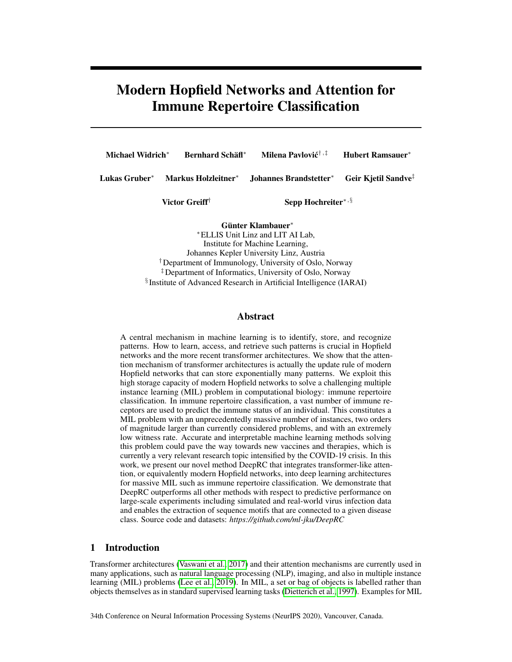# Modern Hopfield Networks and Attention for Immune Repertoire Classification

| Michael Widrich <sup>*</sup> | <b>Bernhard Schäfl*</b> | Milena Pavlović <sup>†,‡</sup>                                             | <b>Hubert Ramsauer*</b> |
|------------------------------|-------------------------|----------------------------------------------------------------------------|-------------------------|
| Lukas Gruber*                |                         | Markus Holzleitner* Johannes Brandstetter* Geir Kjetil Sandve <sup>‡</sup> |                         |
| Victor Greiff <sup>†</sup>   |                         | Sepp Hochreiter*, $\S$                                                     |                         |

Günter Klambauer<sup>∗</sup>

<sup>∗</sup>ELLIS Unit Linz and LIT AI Lab, Institute for Machine Learning, Johannes Kepler University Linz, Austria †Department of Immunology, University of Oslo, Norway ‡Department of Informatics, University of Oslo, Norway § Institute of Advanced Research in Artificial Intelligence (IARAI)

## Abstract

A central mechanism in machine learning is to identify, store, and recognize patterns. How to learn, access, and retrieve such patterns is crucial in Hopfield networks and the more recent transformer architectures. We show that the attention mechanism of transformer architectures is actually the update rule of modern Hopfield networks that can store exponentially many patterns. We exploit this high storage capacity of modern Hopfield networks to solve a challenging multiple instance learning (MIL) problem in computational biology: immune repertoire classification. In immune repertoire classification, a vast number of immune receptors are used to predict the immune status of an individual. This constitutes a MIL problem with an unprecedentedly massive number of instances, two orders of magnitude larger than currently considered problems, and with an extremely low witness rate. Accurate and interpretable machine learning methods solving this problem could pave the way towards new vaccines and therapies, which is currently a very relevant research topic intensified by the COVID-19 crisis. In this work, we present our novel method DeepRC that integrates transformer-like attention, or equivalently modern Hopfield networks, into deep learning architectures for massive MIL such as immune repertoire classification. We demonstrate that DeepRC outperforms all other methods with respect to predictive performance on large-scale experiments including simulated and real-world virus infection data and enables the extraction of sequence motifs that are connected to a given disease class. Source code and datasets: *https://github.com/ml-jku/DeepRC*

# 1 Introduction

Transformer architectures [\(Vaswani et al., 2017\)](#page-13-0) and their attention mechanisms are currently used in many applications, such as natural language processing (NLP), imaging, and also in multiple instance learning (MIL) problems [\(Lee et al., 2019\)](#page-12-0). In MIL, a set or bag of objects is labelled rather than objects themselves as in standard supervised learning tasks [\(Dietterich et al., 1997\)](#page-10-0). Examples for MIL

34th Conference on Neural Information Processing Systems (NeurIPS 2020), Vancouver, Canada.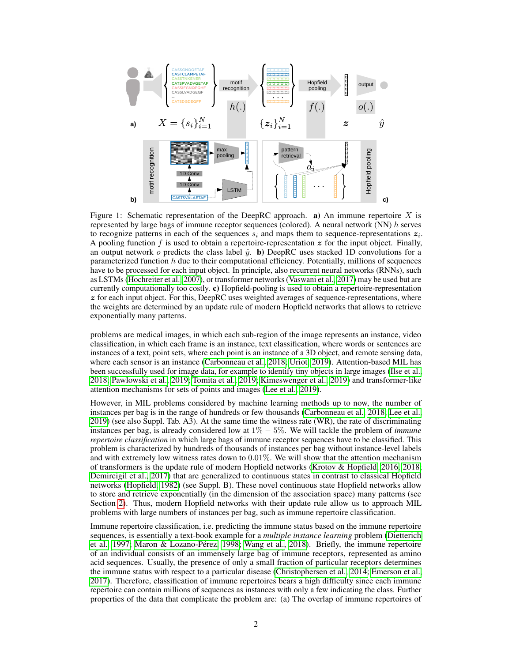

<span id="page-1-0"></span>Figure 1: Schematic representation of the DeepRC approach. a) An immune repertoire  $X$  is represented by large bags of immune receptor sequences (colored). A neural network  $(NN)$  h serves to recognize patterns in each of the sequences  $s_i$  and maps them to sequence-representations  $z_i$ . A pooling function f is used to obtain a repertoire-representation  $z$  for the input object. Finally, an output network  $o$  predicts the class label  $\hat{y}$ . b) DeepRC uses stacked 1D convolutions for a parameterized function  $h$  due to their computational efficiency. Potentially, millions of sequences have to be processed for each input object. In principle, also recurrent neural networks (RNNs), such as LSTMs [\(Hochreiter et al., 2007\)](#page-11-0), or transformer networks [\(Vaswani et al., 2017\)](#page-13-0) may be used but are currently computationally too costly. c) Hopfield-pooling is used to obtain a repertoire-representation  $z$  for each input object. For this, DeepRC uses weighted averages of sequence-representations, where the weights are determined by an update rule of modern Hopfield networks that allows to retrieve exponentially many patterns.

problems are medical images, in which each sub-region of the image represents an instance, video classification, in which each frame is an instance, text classification, where words or sentences are instances of a text, point sets, where each point is an instance of a 3D object, and remote sensing data, where each sensor is an instance [\(Carbonneau et al., 2018;](#page-10-1) [Uriot, 2019\)](#page-13-1). Attention-based MIL has been successfully used for image data, for example to identify tiny objects in large images [\(Ilse et al.,](#page-11-1) [2018;](#page-11-1) [Pawlowski et al., 2019;](#page-12-1) [Tomita et al., 2019;](#page-13-2) [Kimeswenger et al., 2019\)](#page-11-2) and transformer-like attention mechanisms for sets of points and images [\(Lee et al., 2019\)](#page-12-0).

However, in MIL problems considered by machine learning methods up to now, the number of instances per bag is in the range of hundreds or few thousands [\(Carbonneau et al., 2018;](#page-10-1) [Lee et al.,](#page-12-0) [2019\)](#page-12-0) (see also Suppl. Tab. A3). At the same time the witness rate (WR), the rate of discriminating instances per bag, is already considered low at 1% − 5%. We will tackle the problem of *immune repertoire classification* in which large bags of immune receptor sequences have to be classified. This problem is characterized by hundreds of thousands of instances per bag without instance-level labels and with extremely low witness rates down to 0.01%. We will show that the attention mechanism of transformers is the update rule of modern Hopfield networks [\(Krotov & Hopfield, 2016,](#page-11-3) [2018;](#page-11-4) [Demircigil et al., 2017\)](#page-10-2) that are generalized to continuous states in contrast to classical Hopfield networks [\(Hopfield, 1982\)](#page-11-5) (see Suppl. B). These novel continuous state Hopfield networks allow to store and retrieve exponentially (in the dimension of the association space) many patterns (see Section [2\)](#page-3-0). Thus, modern Hopfield networks with their update rule allow us to approach MIL problems with large numbers of instances per bag, such as immune repertoire classification.

Immune repertoire classification, i.e. predicting the immune status based on the immune repertoire sequences, is essentially a text-book example for a *multiple instance learning* problem [\(Dietterich](#page-10-0) [et al., 1997;](#page-10-0) [Maron & Lozano-Pérez, 1998;](#page-12-2) [Wang et al., 2018\)](#page-13-3). Briefly, the immune repertoire of an individual consists of an immensely large bag of immune receptors, represented as amino acid sequences. Usually, the presence of only a small fraction of particular receptors determines the immune status with respect to a particular disease [\(Christophersen et al., 2014;](#page-10-3) [Emerson et al.,](#page-10-4) [2017\)](#page-10-4). Therefore, classification of immune repertoires bears a high difficulty since each immune repertoire can contain millions of sequences as instances with only a few indicating the class. Further properties of the data that complicate the problem are: (a) The overlap of immune repertoires of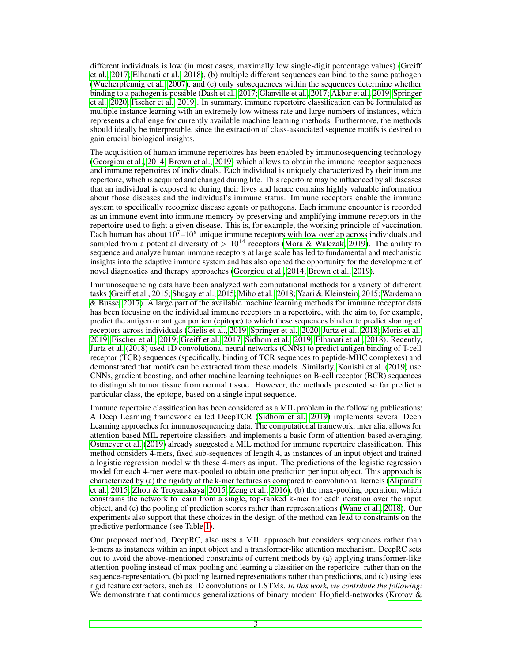different individuals is low (in most cases, maximally low single-digit percentage values) [\(Greiff](#page-11-6) [et al., 2017;](#page-11-6) [Elhanati et al., 2018\)](#page-10-5), (b) multiple different sequences can bind to the same pathogen [\(Wucherpfennig et al., 2007\)](#page-13-4), and (c) only subsequences within the sequences determine whether binding to a pathogen is possible [\(Dash et al., 2017;](#page-10-6) [Glanville et al., 2017;](#page-11-7) [Akbar et al., 2019;](#page-9-0) [Springer](#page-13-5) [et al., 2020;](#page-13-5) [Fischer et al., 2019\)](#page-10-7). In summary, immune repertoire classification can be formulated as multiple instance learning with an extremely low witness rate and large numbers of instances, which represents a challenge for currently available machine learning methods. Furthermore, the methods should ideally be interpretable, since the extraction of class-associated sequence motifs is desired to gain crucial biological insights.

The acquisition of human immune repertoires has been enabled by immunosequencing technology [\(Georgiou et al., 2014;](#page-11-8) [Brown et al., 2019\)](#page-10-8) which allows to obtain the immune receptor sequences and immune repertoires of individuals. Each individual is uniquely characterized by their immune repertoire, which is acquired and changed during life. This repertoire may be influenced by all diseases that an individual is exposed to during their lives and hence contains highly valuable information about those diseases and the individual's immune status. Immune receptors enable the immune system to specifically recognize disease agents or pathogens. Each immune encounter is recorded as an immune event into immune memory by preserving and amplifying immune receptors in the repertoire used to fight a given disease. This is, for example, the working principle of vaccination. Each human has about  $10^7 - 10^8$  unique immune receptors with low overlap across individuals and sampled from a potential diversity of  $> 10^{14}$  receptors [\(Mora & Walczak, 2019\)](#page-12-3). The ability to sequence and analyze human immune receptors at large scale has led to fundamental and mechanistic insights into the adaptive immune system and has also opened the opportunity for the development of novel diagnostics and therapy approaches [\(Georgiou et al., 2014;](#page-11-8) [Brown et al., 2019\)](#page-10-8).

Immunosequencing data have been analyzed with computational methods for a variety of different tasks [\(Greiff et al., 2015;](#page-11-9) [Shugay et al., 2015;](#page-12-4) [Miho et al., 2018;](#page-12-5) [Yaari & Kleinstein, 2015;](#page-13-6) [Wardemann](#page-13-7) [& Busse, 2017\)](#page-13-7). A large part of the available machine learning methods for immune receptor data has been focusing on the individual immune receptors in a repertoire, with the aim to, for example, predict the antigen or antigen portion (epitope) to which these sequences bind or to predict sharing of receptors across individuals [\(Gielis et al., 2019;](#page-11-10) [Springer et al., 2020;](#page-13-5) [Jurtz et al., 2018;](#page-11-11) [Moris et al.,](#page-12-6) [2019;](#page-12-6) [Fischer et al., 2019;](#page-10-7) [Greiff et al., 2017;](#page-11-6) [Sidhom et al., 2019;](#page-13-8) [Elhanati et al., 2018\)](#page-10-5). Recently, [Jurtz et al.](#page-11-11) [\(2018\)](#page-11-11) used 1D convolutional neural networks (CNNs) to predict antigen binding of T-cell receptor (TCR) sequences (specifically, binding of TCR sequences to peptide-MHC complexes) and demonstrated that motifs can be extracted from these models. Similarly, [Konishi et al.](#page-11-12) [\(2019\)](#page-11-12) use CNNs, gradient boosting, and other machine learning techniques on B-cell receptor (BCR) sequences to distinguish tumor tissue from normal tissue. However, the methods presented so far predict a particular class, the epitope, based on a single input sequence.

Immune repertoire classification has been considered as a MIL problem in the following publications: A Deep Learning framework called DeepTCR [\(Sidhom et al., 2019\)](#page-13-8) implements several Deep Learning approaches for immunosequencing data. The computational framework, inter alia, allows for attention-based MIL repertoire classifiers and implements a basic form of attention-based averaging. [Ostmeyer et al.](#page-12-7) [\(2019\)](#page-12-7) already suggested a MIL method for immune repertoire classification. This method considers 4-mers, fixed sub-sequences of length 4, as instances of an input object and trained a logistic regression model with these 4-mers as input. The predictions of the logistic regression model for each 4-mer were max-pooled to obtain one prediction per input object. This approach is characterized by (a) the rigidity of the k-mer features as compared to convolutional kernels [\(Alipanahi](#page-9-1) [et al., 2015;](#page-9-1) [Zhou & Troyanskaya, 2015;](#page-13-9) [Zeng et al., 2016\)](#page-13-10), (b) the max-pooling operation, which constrains the network to learn from a single, top-ranked k-mer for each iteration over the input object, and (c) the pooling of prediction scores rather than representations [\(Wang et al., 2018\)](#page-13-3). Our experiments also support that these choices in the design of the method can lead to constraints on the predictive performance (see Table [1\)](#page-7-0).

Our proposed method, DeepRC, also uses a MIL approach but considers sequences rather than k-mers as instances within an input object and a transformer-like attention mechanism. DeepRC sets out to avoid the above-mentioned constraints of current methods by (a) applying transformer-like attention-pooling instead of max-pooling and learning a classifier on the repertoire- rather than on the sequence-representation, (b) pooling learned representations rather than predictions, and (c) using less rigid feature extractors, such as 1D convolutions or LSTMs. *In this work, we contribute the following:* We demonstrate that continuous generalizations of binary modern Hopfield-networks [\(Krotov &](#page-11-3)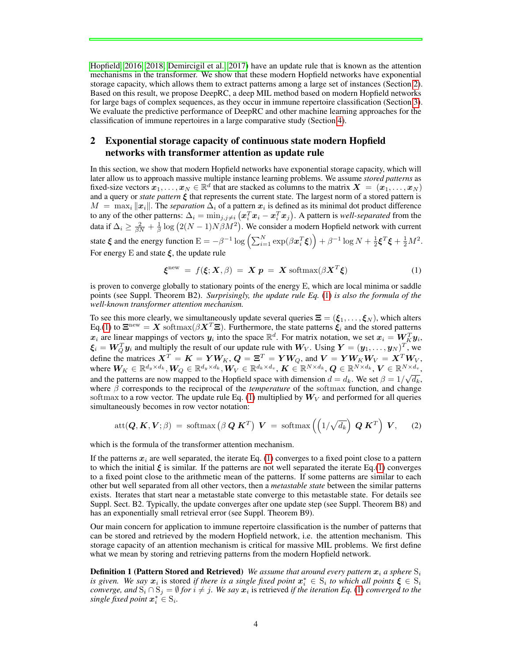[Hopfield, 2016,](#page-11-3) [2018;](#page-11-4) [Demircigil et al., 2017\)](#page-10-2) have an update rule that is known as the attention mechanisms in the transformer. We show that these modern Hopfield networks have exponential storage capacity, which allows them to extract patterns among a large set of instances (Section [2\)](#page-3-0). Based on this result, we propose DeepRC, a deep MIL method based on modern Hopfield networks for large bags of complex sequences, as they occur in immune repertoire classification (Section [3\)](#page-4-0). We evaluate the predictive performance of DeepRC and other machine learning approaches for the classification of immune repertoires in a large comparative study (Section [4\)](#page-6-0).

# <span id="page-3-0"></span>2 Exponential storage capacity of continuous state modern Hopfield networks with transformer attention as update rule

In this section, we show that modern Hopfield networks have exponential storage capacity, which will later allow us to approach massive multiple instance learning problems. We assume *stored patterns* as fixed-size vectors  $\mathbf{x}_1, \dots, \mathbf{x}_N \in \mathbb{R}^d$  that are stacked as columns to the matrix  $\mathbf{X} = (\mathbf{x}_1, \dots, \mathbf{x}_N)$ and a query or *state pattern* ξ that represents the current state. The largest norm of a stored pattern is  $M = \max_i ||x_i||$ . The *separation*  $\Delta_i$  of a pattern  $x_i$  is defined as its minimal dot product difference to any of the other patterns:  $\Delta_i = \min_{j,j\neq i} \left(\bm{x}_i^T\bm{x}_i-\bm{x}_i^T\bm{x}_j\right)$ . A pattern is *well-separated* from the data if  $\Delta_i \ge \frac{2}{\beta N} + \frac{1}{\beta} \log (2(N-1)N\beta M^2)$ . We consider a modern Hopfield network with current state  $\xi$  and the energy function  $E = -\beta^{-1} \log \left( \sum_{i=1}^N \exp(\beta x_i^T \xi) \right) + \beta^{-1} \log N + \frac{1}{2} \xi^T \xi + \frac{1}{2} M^2$ . For energy E and state  $\xi$ , the update rule

<span id="page-3-2"></span><span id="page-3-1"></span>
$$
\boldsymbol{\xi}^{\text{new}} = f(\boldsymbol{\xi}; \boldsymbol{X}, \beta) = \boldsymbol{X} \boldsymbol{p} = \boldsymbol{X} \text{ softmax}(\beta \boldsymbol{X}^T \boldsymbol{\xi}) \tag{1}
$$

is proven to converge globally to stationary points of the energy E, which are local minima or saddle points (see Suppl. Theorem B2). *Surprisingly, the update rule Eq.* [\(1\)](#page-3-1) *is also the formula of the well-known transformer attention mechanism.*

To see this more clearly, we simultaneously update several queries  $\Xi = (\xi_1, \dots, \xi_N)$ , which alters Eq.[\(1\)](#page-3-1) to  $\Xi^{\text{new}} = X \text{ softmax}(\beta X^T \Xi)$ . Furthermore, the state patterns  $\xi_i$  and the stored patterns  $x_i$  are linear mappings of vectors  $y_i$  into the space  $\mathbb{R}^d$ . For matrix notation, we set  $x_i = W_K^T y_i$ ,  $\xi_i = W_Q^T y_i$  and multiply the result of our update rule with  $W_V$ . Using  $Y = (y_1, \dots, y_N)^T$ , we define the matrices  $X^T = K = YW_K$ ,  $Q = \Xi^T = YW_Q$ , and  $V = YW_KW_V = X^TW_V$ , where  $W_K \in \mathbb{R}^{d_y \times d_k}, W_Q \in \mathbb{R}^{d_y \times d_k}, W_V \in \mathbb{R}^{d_k \times d_v}, K \in \mathbb{R}^{N \times d_k}, Q \in \mathbb{R}^{N \times d_k}, V \in \mathbb{R}^{N \times d_v}$ and the patterns are now mapped to the Hopfield space with dimension  $d = d_k$ . We set  $\beta = 1/\sqrt{d_k}$ , where  $\beta$  corresponds to the reciprocal of the *temperature* of the softmax function, and change softmax to a row vector. The update rule Eq. [\(1\)](#page-3-1) multiplied by  $W_V$  and performed for all queries simultaneously becomes in row vector notation:

$$
att(\boldsymbol{Q},\boldsymbol{K},\boldsymbol{V};\beta) = softmax\left(\beta \boldsymbol{Q}\boldsymbol{K}^{T}\right) \boldsymbol{V} = softmax\left(\left(1/\sqrt{d_k}\right) \boldsymbol{Q}\boldsymbol{K}^{T}\right) \boldsymbol{V}, \quad (2)
$$

which is the formula of the transformer attention mechanism.

If the patterns  $x_i$  are well separated, the iterate Eq. [\(1\)](#page-3-1) converges to a fixed point close to a pattern to which the initial  $\xi$  is similar. If the patterns are not well separated the iterate Eq.[\(1\)](#page-3-1) converges to a fixed point close to the arithmetic mean of the patterns. If some patterns are similar to each other but well separated from all other vectors, then a *metastable state* between the similar patterns exists. Iterates that start near a metastable state converge to this metastable state. For details see Suppl. Sect. B2. Typically, the update converges after one update step (see Suppl. Theorem B8) and has an exponentially small retrieval error (see Suppl. Theorem B9).

Our main concern for application to immune repertoire classification is the number of patterns that can be stored and retrieved by the modern Hopfield network, i.e. the attention mechanism. This storage capacity of an attention mechanism is critical for massive MIL problems. We first define what we mean by storing and retrieving patterns from the modern Hopfield network.

**Definition 1 (Pattern Stored and Retrieved)** *We assume that around every pattern*  $x_i$  *a sphere*  $S_i$ *is given. We say*  $x_i$  is stored *if there is a single fixed point*  $x_i^* \in S_i$  *to which all points*  $\xi \in S_i$ *converge, and*  $S_i \cap S_j = \emptyset$  *for*  $i \neq j$ . We say  $x_i$  is retrieved *if the iteration Eq.* [\(1\)](#page-3-1) *converged to the single fixed point*  $x_i^* \in S_i$ .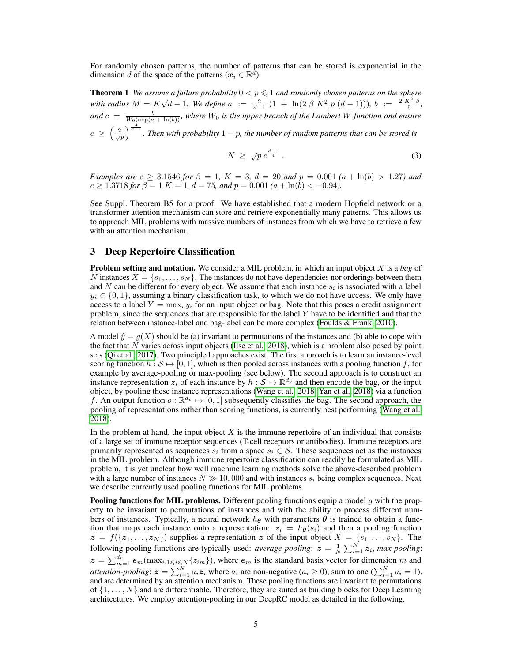For randomly chosen patterns, the number of patterns that can be stored is exponential in the dimension d of the space of the patterns ( $x_i \in \mathbb{R}^d$ ).

**Theorem 1** *We assume a failure probability*  $0 < p \le 1$  *and randomly chosen patterns on the sphere with radius* M = K *o*  $\sqrt{d-1}$ *. We define*  $a := \frac{2}{d-1}(1 + \ln(2 \beta K^2 p (d-1))),$ *b* :=  $\frac{2 K^2 \beta}{5}$ *,* and  $c = \frac{b}{W_0(\exp(a + \ln(b))}$ *, where*  $W_0$  *is the upper branch of the Lambert* W *function and ensure*  $c \geq \left(\frac{2}{\sqrt{p}}\right)^{\frac{4}{d-1}}$ . Then with probability  $1-p$ , the number of random patterns that can be stored is

<span id="page-4-1"></span>
$$
N \geq \sqrt{p} \, c^{\frac{d-1}{4}} \,. \tag{3}
$$

*Examples are*  $c \geq 3.1546$  *for*  $\beta = 1$ ,  $K = 3$ ,  $d = 20$  *and*  $p = 0.001$   $(a + \ln(b) > 1.27)$  *and*  $c \ge 1.3718$  *for*  $\beta = 1$  *K* = 1*, d* = 75*, and*  $p = 0.001$  *(a* + ln*(b)* < -0.94*)*.

See Suppl. Theorem B5 for a proof. We have established that a modern Hopfield network or a transformer attention mechanism can store and retrieve exponentially many patterns. This allows us to approach MIL problems with massive numbers of instances from which we have to retrieve a few with an attention mechanism.

#### <span id="page-4-0"></span>3 Deep Repertoire Classification

Problem setting and notation. We consider a MIL problem, in which an input object X is a *bag* of N instances  $X = \{s_1, \ldots, s_N\}$ . The instances do not have dependencies nor orderings between them and N can be different for every object. We assume that each instance  $s_i$  is associated with a label  $y_i \in \{0, 1\}$ , assuming a binary classification task, to which we do not have access. We only have access to a label  $Y = \max_i y_i$  for an input object or bag. Note that this poses a credit assignment problem, since the sequences that are responsible for the label Y have to be identified and that the relation between instance-label and bag-label can be more complex [\(Foulds & Frank, 2010\)](#page-10-9).

A model  $\hat{y} = g(X)$  should be (a) invariant to permutations of the instances and (b) able to cope with the fact that N varies across input objects [\(Ilse et al., 2018\)](#page-11-1), which is a problem also posed by point sets [\(Qi et al., 2017\)](#page-12-8). Two principled approaches exist. The first approach is to learn an instance-level scoring function  $h : \mathcal{S} \mapsto [0, 1]$ , which is then pooled across instances with a pooling function f, for example by average-pooling or max-pooling (see below). The second approach is to construct an instance representation  $z_i$  of each instance by  $h : S \mapsto \mathbb{R}^{d_v}$  and then encode the bag, or the input object, by pooling these instance representations [\(Wang et al., 2018;](#page-13-3) [Yan et al., 2018\)](#page-13-11) via a function f. An output function  $o : \mathbb{R}^{d_v} \mapsto [0, 1]$  subsequently classifies the bag. The second approach, the pooling of representations rather than scoring functions, is currently best performing [\(Wang et al.,](#page-13-3) [2018\)](#page-13-3).

In the problem at hand, the input object  $X$  is the immune repertoire of an individual that consists of a large set of immune receptor sequences (T-cell receptors or antibodies). Immune receptors are primarily represented as sequences  $s_i$  from a space  $s_i \in S$ . These sequences act as the instances in the MIL problem. Although immune repertoire classification can readily be formulated as MIL problem, it is yet unclear how well machine learning methods solve the above-described problem with a large number of instances  $N \gg 10,000$  and with instances  $s_i$  being complex sequences. Next we describe currently used pooling functions for MIL problems.

**Pooling functions for MIL problems.** Different pooling functions equip a model  $g$  with the property to be invariant to permutations of instances and with the ability to process different numbers of instances. Typically, a neural network  $h_{\theta}$  with parameters  $\theta$  is trained to obtain a function that maps each instance onto a representation:  $z_i = h_{\theta}(s_i)$  and then a pooling function  $z = f({z_1, \ldots, z_N})$  supplies a representation z of the input object  $X = {s_1, \ldots, s_N}$ . The following pooling functions are typically used: *average-pooling*:  $z = \frac{1}{N} \sum_{i=1}^{N} z_i$ , *max-pooling*:  $z = \sum_{m=1}^{d_v} e_m(\max_{i,1 \leq i \leq N} \{z_{im}\})$ , where  $e_m$  is the standard basis vector for dimension m and *attention-pooling*:  $z = \sum_{i=1}^{N} a_i z_i$  where  $a_i$  are non-negative ( $a_i \ge 0$ ), sum to one ( $\sum_{i=1}^{N} a_i = 1$ ), and are determined by an attention mechanism. These pooling functions are invariant to permutations of  $\{1, \ldots, N\}$  and are differentiable. Therefore, they are suited as building blocks for Deep Learning architectures. We employ attention-pooling in our DeepRC model as detailed in the following.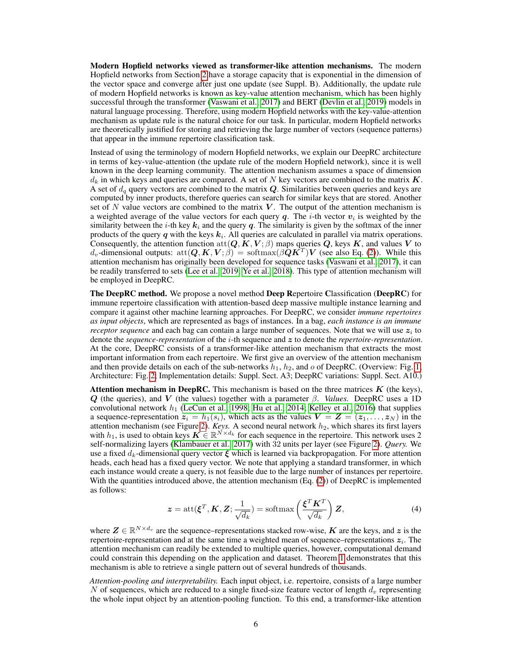Modern Hopfield networks viewed as transformer-like attention mechanisms. The modern Hopfield networks from Section [2](#page-3-0) have a storage capacity that is exponential in the dimension of the vector space and converge after just one update (see Suppl. B). Additionally, the update rule of modern Hopfield networks is known as key-value attention mechanism, which has been highly successful through the transformer [\(Vaswani et al., 2017\)](#page-13-0) and BERT [\(Devlin et al., 2019\)](#page-10-10) models in natural language processing. Therefore, using modern Hopfield networks with the key-value-attention mechanism as update rule is the natural choice for our task. In particular, modern Hopfield networks are theoretically justified for storing and retrieving the large number of vectors (sequence patterns) that appear in the immune repertoire classification task.

Instead of using the terminology of modern Hopfield networks, we explain our DeepRC architecture in terms of key-value-attention (the update rule of the modern Hopfield network), since it is well known in the deep learning community. The attention mechanism assumes a space of dimension  $d_k$  in which keys and queries are compared. A set of N key vectors are combined to the matrix K. A set of  $d_q$  query vectors are combined to the matrix  $Q$ . Similarities between queries and keys are computed by inner products, therefore queries can search for similar keys that are stored. Another set of  $N$  value vectors are combined to the matrix  $V$ . The output of the attention mechanism is a weighted average of the value vectors for each query  $q$ . The *i*-th vector  $v_i$  is weighted by the similarity between the *i*-th key  $k_i$  and the query q. The similarity is given by the softmax of the inner products of the query q with the keys  $k_i$ . All queries are calculated in parallel via matrix operations. Consequently, the attention function  $\text{att}(Q, K, V; \beta)$  maps queries  $Q$ , keys K, and values V to  $d_v$ -dimensional outputs:  $\text{att}(\bm{Q}, \bm{K}, \bm{V}; \hat{\beta}) = \text{softmax}(\beta \hat{\bm{Q}} \hat{\bm{K}}^T) \bm{V}$  (see also Eq. [\(2\)](#page-3-2)). While this attention mechanism has originally been developed for sequence tasks [\(Vaswani et al., 2017\)](#page-13-0), it can be readily transferred to sets [\(Lee et al., 2019;](#page-12-0) [Ye et al., 2018\)](#page-13-12). This type of attention mechanism will be employed in DeepRC.

The DeepRC method. We propose a novel method Deep Repertoire Classification (DeepRC) for immune repertoire classification with attention-based deep massive multiple instance learning and compare it against other machine learning approaches. For DeepRC, we consider *immune repertoires as input objects*, which are represented as bags of instances. In a bag, *each instance is an immune receptor sequence* and each bag can contain a large number of sequences. Note that we will use  $z_i$  to denote the *sequence-representation* of the i-th sequence and z to denote the *repertoire-representation*. At the core, DeepRC consists of a transformer-like attention mechanism that extracts the most important information from each repertoire. We first give an overview of the attention mechanism and then provide details on each of the sub-networks  $h_1$ ,  $h_2$ , and  $o$  of DeepRC. (Overview: Fig. [1;](#page-1-0) Architecture: Fig. [2;](#page-6-1) Implementation details: Suppl. Sect. A3; DeepRC variations: Suppl. Sect. A10.)

**Attention mechanism in DeepRC.** This mechanism is based on the three matrices  $K$  (the keys), Q (the queries), and V (the values) together with a parameter  $\beta$ . *Values.* DeepRC uses a 1D convolutional network  $h_1$  [\(LeCun et al., 1998;](#page-12-9) [Hu et al., 2014;](#page-11-13) [Kelley et al., 2016\)](#page-11-14) that supplies a sequence-representation  $z_i = h_1(s_i)$ , which acts as the values  $V = Z = (z_1, \ldots, z_N)$  in the attention mechanism (see Figure [2\)](#page-6-1). *Keys.* A second neural network  $h_2$ , which shares its first layers with  $h_1$ , is used to obtain keys  $\mathbf{K} \in \mathbb{R}^{N \times d_k}$  for each sequence in the repertoire. This network uses 2 self-normalizing layers [\(Klambauer et al., 2017\)](#page-11-15) with 32 units per layer (see Figure [2\)](#page-6-1). *Query.* We use a fixed  $d_k$ -dimensional query vector  $\xi$  which is learned via backpropagation. For more attention heads, each head has a fixed query vector. We note that applying a standard transformer, in which each instance would create a query, is not feasible due to the large number of instances per repertoire. With the quantities introduced above, the attention mechanism  $(Eq. (2))$  $(Eq. (2))$  $(Eq. (2))$  of DeepRC is implemented as follows:

$$
z = \operatorname{att}(\xi^T, \mathbf{K}, \mathbf{Z}; \frac{1}{\sqrt{d_k}}) = \operatorname{softmax}\left(\frac{\xi^T \mathbf{K}^T}{\sqrt{d_k}}\right) \mathbf{Z},\tag{4}
$$

where  $\mathbf{Z} \in \mathbb{R}^{N \times d_v}$  are the sequence–representations stacked row-wise,  $\mathbf{K}$  are the keys, and  $\boldsymbol{z}$  is the repertoire-representation and at the same time a weighted mean of sequence-representations  $z_i$ . The attention mechanism can readily be extended to multiple queries, however, computational demand could constrain this depending on the application and dataset. Theorem [1](#page-4-1) demonstrates that this mechanism is able to retrieve a single pattern out of several hundreds of thousands.

*Attention-pooling and interpretability.* Each input object, i.e. repertoire, consists of a large number N of sequences, which are reduced to a single fixed-size feature vector of length  $d<sub>v</sub>$  representing the whole input object by an attention-pooling function. To this end, a transformer-like attention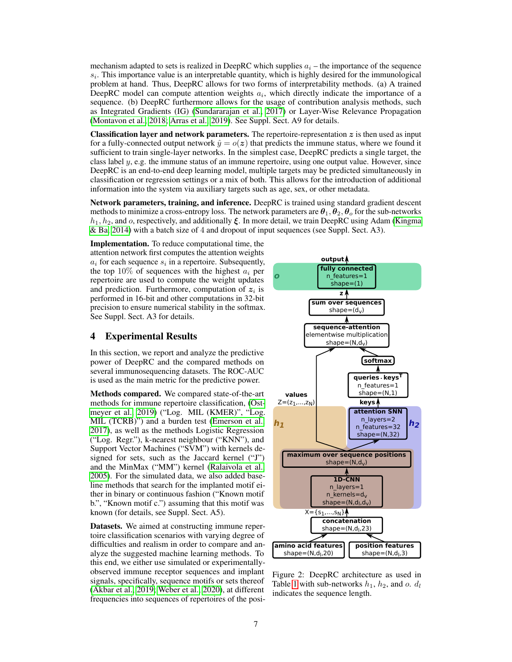mechanism adapted to sets is realized in DeepRC which supplies  $a_i$  – the importance of the sequence  $s_i$ . This importance value is an interpretable quantity, which is highly desired for the immunological problem at hand. Thus, DeepRC allows for two forms of interpretability methods. (a) A trained DeepRC model can compute attention weights  $a_i$ , which directly indicate the importance of a sequence. (b) DeepRC furthermore allows for the usage of contribution analysis methods, such as Integrated Gradients (IG) [\(Sundararajan et al., 2017\)](#page-13-13) or Layer-Wise Relevance Propagation [\(Montavon et al., 2018;](#page-12-10) [Arras et al., 2019\)](#page-10-11). See Suppl. Sect. A9 for details.

**Classification layer and network parameters.** The repertoire-representation  $z$  is then used as input for a fully-connected output network  $\hat{y} = o(z)$  that predicts the immune status, where we found it sufficient to train single-layer networks. In the simplest case, DeepRC predicts a single target, the class label  $y$ , e.g. the immune status of an immune repertoire, using one output value. However, since DeepRC is an end-to-end deep learning model, multiple targets may be predicted simultaneously in classification or regression settings or a mix of both. This allows for the introduction of additional information into the system via auxiliary targets such as age, sex, or other metadata.

Network parameters, training, and inference. DeepRC is trained using standard gradient descent methods to minimize a cross-entropy loss. The network parameters are  $\theta_1, \theta_2, \theta_0$  for the sub-networks  $h_1, h_2$ , and o, respectively, and additionally  $\xi$ . In more detail, we train DeepRC using Adam [\(Kingma](#page-11-16) [& Ba, 2014\)](#page-11-16) with a batch size of 4 and dropout of input sequences (see Suppl. Sect. A3).

Implementation. To reduce computational time, the attention network first computes the attention weights  $a_i$  for each sequence  $s_i$  in a repertoire. Subsequently, the top 10% of sequences with the highest  $a_i$  per repertoire are used to compute the weight updates and prediction. Furthermore, computation of  $z_i$  is performed in 16-bit and other computations in 32-bit precision to ensure numerical stability in the softmax. See Suppl. Sect. A3 for details.

### <span id="page-6-0"></span>4 Experimental Results

In this section, we report and analyze the predictive power of DeepRC and the compared methods on several immunosequencing datasets. The ROC-AUC is used as the main metric for the predictive power.

Methods compared. We compared state-of-the-art methods for immune repertoire classification, [\(Ost](#page-12-7)[meyer et al., 2019\)](#page-12-7) ("Log. MIL (KMER)", "Log. MIL (TCRB)") and a burden test [\(Emerson et al.,](#page-10-4) [2017\)](#page-10-4), as well as the methods Logistic Regression ("Log. Regr."), k-nearest neighbour ("KNN"), and Support Vector Machines ("SVM") with kernels designed for sets, such as the Jaccard kernel ("J") and the MinMax ("MM") kernel [\(Ralaivola et al.,](#page-12-11) [2005\)](#page-12-11). For the simulated data, we also added baseline methods that search for the implanted motif either in binary or continuous fashion ("Known motif b.", "Known motif c.") assuming that this motif was known (for details, see Suppl. Sect. A5).

Datasets. We aimed at constructing immune repertoire classification scenarios with varying degree of difficulties and realism in order to compare and analyze the suggested machine learning methods. To this end, we either use simulated or experimentallyobserved immune receptor sequences and implant signals, specifically, sequence motifs or sets thereof [\(Akbar et al., 2019;](#page-9-0) [Weber et al., 2020\)](#page-13-14), at different frequencies into sequences of repertoires of the posi-



<span id="page-6-1"></span>Figure 2: DeepRC architecture as used in Table [1](#page-7-0) with sub-networks  $h_1$ ,  $h_2$ , and o.  $d_l$ indicates the sequence length.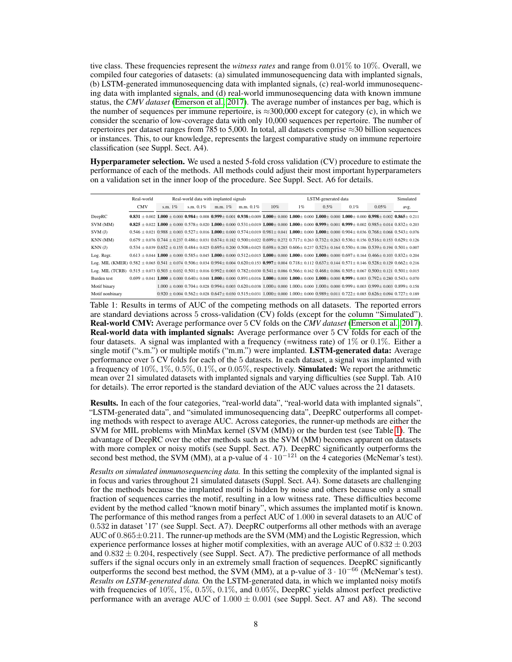tive class. These frequencies represent the *witness rates* and range from 0.01% to 10%. Overall, we compiled four categories of datasets: (a) simulated immunosequencing data with implanted signals, (b) LSTM-generated immunosequencing data with implanted signals, (c) real-world immunosequencing data with implanted signals, and (d) real-world immunosequencing data with known immune status, the *CMV dataset* [\(Emerson et al., 2017\)](#page-10-4). The average number of instances per bag, which is the number of sequences per immune repertoire, is  $\approx 300,000$  except for category (c), in which we consider the scenario of low-coverage data with only 10,000 sequences per repertoire. The number of repertoires per dataset ranges from 785 to 5,000. In total, all datasets comprise  $\approx$ 30 billion sequences or instances. This, to our knowledge, represents the largest comparative study on immune repertoire classification (see Suppl. Sect. A4).

Hyperparameter selection. We used a nested 5-fold cross validation (CV) procedure to estimate the performance of each of the methods. All methods could adjust their most important hyperparameters on a validation set in the inner loop of the procedure. See Suppl. Sect. A6 for details.

|                                                                                                                                                                                                                       | Real-world | Real-world data with implanted signals                                                                                                                                                                |              |         |              |                                                                                                                                                                                     | LSTM-generated data |         |      |       | Simulated |
|-----------------------------------------------------------------------------------------------------------------------------------------------------------------------------------------------------------------------|------------|-------------------------------------------------------------------------------------------------------------------------------------------------------------------------------------------------------|--------------|---------|--------------|-------------------------------------------------------------------------------------------------------------------------------------------------------------------------------------|---------------------|---------|------|-------|-----------|
|                                                                                                                                                                                                                       | <b>CMV</b> | s.m. $1\%$                                                                                                                                                                                            | s.m. $0.1\%$ | m.m. 1% | m.m. $0.1\%$ | 10%                                                                                                                                                                                 | 1%                  | $0.5\%$ | 0.1% | 0.05% | avg.      |
| DeepRC                                                                                                                                                                                                                |            | $0.831 \pm 0.002$ 1.000 $\pm$ 0.000 0.984 $\pm$ 0.008 0.999 $\pm$ 0.001 0.938 $\pm$ 0.009 1.000 $\pm$ 0.000 1.000 $\pm$ 0.000 1.000 $\pm$ 0.000 1.000 $\pm$ 0.000 0.998 $\pm$ 0.002 0.865 $\pm$ 0.211 |              |         |              |                                                                                                                                                                                     |                     |         |      |       |           |
| SVM (MM)                                                                                                                                                                                                              |            | $0.825 \pm 0.022$ 1.000 $\pm$ 0.000 0.578 $\pm$ 0.020 1.000 $\pm$ 0.000 0.531 $\pm$ 0.019 1.000 $\pm$ 0.000 1.000 $\pm$ 0.000 0.999 $\pm$ 0.001 0.999 $\pm$ 0.002 0.985 $\pm$ 0.014 0.832 $\pm$ 0.203 |              |         |              |                                                                                                                                                                                     |                     |         |      |       |           |
| SVM(J)                                                                                                                                                                                                                |            | $0.546 \pm 0.021$ $0.988 \pm 0.003$ $0.527 \pm 0.016$ $1.000 \pm 0.000$ $0.574 \pm 0.019$ $0.981 \pm 0.041$ $1.000 \pm 0.000$ $1.000 \pm 0.000$ $0.904 \pm 0.036$ $0.768 \pm 0.068$ $0.543 \pm 0.076$ |              |         |              |                                                                                                                                                                                     |                     |         |      |       |           |
| KNN (MM)                                                                                                                                                                                                              |            | $0.679 \pm 0.076$ $0.744 \pm 0.237$ $0.486 \pm 0.031$ $0.674 \pm 0.182$ $0.500 \pm 0.022$ $0.699 \pm 0.272$ $0.717 \pm 0.263$ $0.732 \pm 0.263$ $0.536 \pm 0.156$ $0.516 \pm 0.153$ $0.629 \pm 0.126$ |              |         |              |                                                                                                                                                                                     |                     |         |      |       |           |
| KNN(J)                                                                                                                                                                                                                |            | $0.534 \pm 0.039$ $0.652 \pm 0.155$ $0.484 \pm 0.025$ $0.695 \pm 0.200$ $0.508 \pm 0.025$ $0.698 \pm 0.285$ $0.606 \pm 0.237$ $0.523 \pm 0.164$ $0.550 \pm 0.186$ $0.539 \pm 0.194$ $0.501 \pm 0.007$ |              |         |              |                                                                                                                                                                                     |                     |         |      |       |           |
| Log. Regr.                                                                                                                                                                                                            |            | $0.613 + 0.044$ 1.000 + 0.000 0.585 + 0.045 1.000 + 0.000 0.512 + 0.015 1.000 + 0.000 1.000 + 0.000 1.000 + 0.000 0.697 + 0.164 0.466 + 0.103 0.832 + 0.204                                           |              |         |              |                                                                                                                                                                                     |                     |         |      |       |           |
| Log. MIL (KMER) $0.582 \pm 0.065$ $0.541 \pm 0.074$ $0.506 \pm 0.034$ $0.994 \pm 0.004$ $0.620 \pm 0.133$ $0.997 \pm 0.004$ $0.718 \pm 0.112$ $0.637 \pm 0.144$ $0.571 \pm 0.146$ $0.528 \pm 0.129$ $0.662 \pm 0.216$ |            |                                                                                                                                                                                                       |              |         |              |                                                                                                                                                                                     |                     |         |      |       |           |
| Log. MIL (TCRB) $0.515 \pm 0.073$ $0.503 \pm 0.032$ $0.501 \pm 0.016$ $0.992 \pm 0.003$ $0.782 \pm 0.030$ $0.541 \pm 0.086$ $0.566 \pm 0.162$ $0.468 \pm 0.086$ $0.505 \pm 0.067$ $0.500 \pm 0.121$ $0.501 \pm 0.015$ |            |                                                                                                                                                                                                       |              |         |              |                                                                                                                                                                                     |                     |         |      |       |           |
| Burden test                                                                                                                                                                                                           |            | $0.699 \pm 0.041$ 1.000 $\pm$ 0.000 $0.640 \pm 0.048$ 1.000 $\pm$ 0.000 0.891 $\pm$ 0.016 1.000 $\pm$ 0.000 1.000 $\pm$ 0.000 1.000 $\pm$ 0.000 0.999 $\pm$ 0.003 0.792 $\pm$ 0.280 0.543 $\pm$ 0.070 |              |         |              |                                                                                                                                                                                     |                     |         |      |       |           |
| Motif binary                                                                                                                                                                                                          |            |                                                                                                                                                                                                       |              |         |              | $1.000 \pm 0.000$ $0.704 \pm 0.028$ $0.994 \pm 0.003$ $0.620 \pm 0.038$ $1.000 \pm 0.000$ $1.000 \pm 0.000$ $1.000 \pm 0.000$ $0.999 \pm 0.003$ $0.999 \pm 0.003$ $0.899 \pm 0.158$ |                     |         |      |       |           |
| Motif nonbinary                                                                                                                                                                                                       |            | $0.920 \pm 0.004$ $0.562 \pm 0.028$ $0.647 \pm 0.030$ $0.515 \pm 0.031$ $1.000 \pm 0.000$ $1.000 \pm 0.000$ $0.989 \pm 0.011$ $0.722 \pm 0.085$ $0.626 \pm 0.094$ $0.727 \pm 0.189$                   |              |         |              |                                                                                                                                                                                     |                     |         |      |       |           |

<span id="page-7-0"></span>Table 1: Results in terms of AUC of the competing methods on all datasets. The reported errors are standard deviations across 5 cross-validation (CV) folds (except for the column "Simulated"). Real-world CMV: Average performance over 5 CV folds on the *CMV dataset* [\(Emerson et al., 2017\)](#page-10-4). Real-world data with implanted signals: Average performance over 5 CV folds for each of the four datasets. A signal was implanted with a frequency (=witness rate) of  $1\%$  or 0.1%. Either a single motif ("s.m.") or multiple motifs ("m.m.") were implanted. **LSTM-generated data:** Average performance over 5 CV folds for each of the 5 datasets. In each dataset, a signal was implanted with a frequency of  $10\%, 1\%, 0.5\%, 0.1\%,$  or  $0.05\%$ , respectively. **Simulated:** We report the arithmetic mean over 21 simulated datasets with implanted signals and varying difficulties (see Suppl. Tab. A10 for details). The error reported is the standard deviation of the AUC values across the 21 datasets.

Results. In each of the four categories, "real-world data", "real-world data with implanted signals", "LSTM-generated data", and "simulated immunosequencing data", DeepRC outperforms all competing methods with respect to average AUC. Across categories, the runner-up methods are either the SVM for MIL problems with MinMax kernel (SVM (MM)) or the burden test (see Table [1\)](#page-7-0). The advantage of DeepRC over the other methods such as the SVM (MM) becomes apparent on datasets with more complex or noisy motifs (see Suppl. Sect. A7). DeepRC significantly outperforms the second best method, the SVM (MM), at a p-value of  $4 \cdot 10^{-121}$  on the 4 categories (McNemar's test).

*Results on simulated immunosequencing data.* In this setting the complexity of the implanted signal is in focus and varies throughout 21 simulated datasets (Suppl. Sect. A4). Some datasets are challenging for the methods because the implanted motif is hidden by noise and others because only a small fraction of sequences carries the motif, resulting in a low witness rate. These difficulties become evident by the method called "known motif binary", which assumes the implanted motif is known. The performance of this method ranges from a perfect AUC of 1.000 in several datasets to an AUC of 0.532 in dataset '17' (see Suppl. Sect. A7). DeepRC outperforms all other methods with an average AUC of  $0.865\pm0.211$ . The runner-up methods are the SVM (MM) and the Logistic Regression, which experience performance losses at higher motif complexities, with an average AUC of  $0.832 \pm 0.203$ and  $0.832 \pm 0.204$ , respectively (see Suppl. Sect. A7). The predictive performance of all methods suffers if the signal occurs only in an extremely small fraction of sequences. DeepRC significantly outperforms the second best method, the SVM (MM), at a p-value of  $3 \cdot 10^{-66}$  (McNemar's test). *Results on LSTM-generated data.* On the LSTM-generated data, in which we implanted noisy motifs with frequencies of 10%, 1%, 0.5%, 0.1%, and 0.05%, DeepRC yields almost perfect predictive performance with an average AUC of  $1.000 \pm 0.001$  (see Suppl. Sect. A7 and A8). The second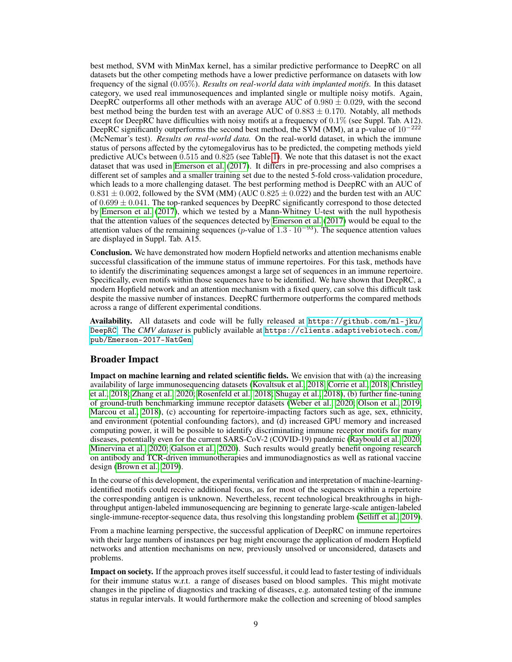best method, SVM with MinMax kernel, has a similar predictive performance to DeepRC on all datasets but the other competing methods have a lower predictive performance on datasets with low frequency of the signal (0.05%). *Results on real-world data with implanted motifs.* In this dataset category, we used real immunosequences and implanted single or multiple noisy motifs. Again, DeepRC outperforms all other methods with an average AUC of  $0.980 \pm 0.029$ , with the second best method being the burden test with an average AUC of  $0.883 \pm 0.170$ . Notably, all methods except for DeepRC have difficulties with noisy motifs at a frequency of 0.1% (see Suppl. Tab. A12). DeepRC significantly outperforms the second best method, the SVM (MM), at a p-value of 10<sup>-222</sup> (McNemar's test). *Results on real-world data.* On the real-world dataset, in which the immune status of persons affected by the cytomegalovirus has to be predicted, the competing methods yield predictive AUCs between 0.515 and 0.825 (see Table [1\)](#page-7-0). We note that this dataset is not the exact dataset that was used in [Emerson et al.](#page-10-4) [\(2017\)](#page-10-4). It differs in pre-processing and also comprises a different set of samples and a smaller training set due to the nested 5-fold cross-validation procedure, which leads to a more challenging dataset. The best performing method is DeepRC with an AUC of  $0.831 \pm 0.002$ , followed by the SVM (MM) (AUC  $0.825 \pm 0.022$ ) and the burden test with an AUC of  $0.699 \pm 0.041$ . The top-ranked sequences by DeepRC significantly correspond to those detected by [Emerson et al.](#page-10-4) [\(2017\)](#page-10-4), which we tested by a Mann-Whitney U-test with the null hypothesis that the attention values of the sequences detected by [Emerson et al.](#page-10-4) [\(2017\)](#page-10-4) would be equal to the attention values of the remaining sequences (p-value of  $1.3 \cdot 10^{-93}$ ). The sequence attention values are displayed in Suppl. Tab. A15.

Conclusion. We have demonstrated how modern Hopfield networks and attention mechanisms enable successful classification of the immune status of immune repertoires. For this task, methods have to identify the discriminating sequences amongst a large set of sequences in an immune repertoire. Specifically, even motifs within those sequences have to be identified. We have shown that DeepRC, a modern Hopfield network and an attention mechanism with a fixed query, can solve this difficult task despite the massive number of instances. DeepRC furthermore outperforms the compared methods across a range of different experimental conditions.

Availability. All datasets and code will be fully released at [https://github.com/ml-jku/](https://github.com/ml-jku/DeepRC) [DeepRC](https://github.com/ml-jku/DeepRC). The *CMV dataset* is publicly available at [https://clients.adaptivebiotech.com/](https://clients.adaptivebiotech.com/pub/Emerson-2017-NatGen) [pub/Emerson-2017-NatGen](https://clients.adaptivebiotech.com/pub/Emerson-2017-NatGen).

## Broader Impact

Impact on machine learning and related scientific fields. We envision that with (a) the increasing availability of large immunosequencing datasets [\(Kovaltsuk et al., 2018;](#page-11-17) [Corrie et al., 2018;](#page-10-12) [Christley](#page-10-13) [et al., 2018;](#page-10-13) [Zhang et al., 2020;](#page-13-15) [Rosenfeld et al., 2018;](#page-12-12) [Shugay et al., 2018\)](#page-13-16), (b) further fine-tuning of ground-truth benchmarking immune receptor datasets [\(Weber et al., 2020;](#page-13-14) [Olson et al., 2019;](#page-12-13) [Marcou et al., 2018\)](#page-12-14), (c) accounting for repertoire-impacting factors such as age, sex, ethnicity, and environment (potential confounding factors), and (d) increased GPU memory and increased computing power, it will be possible to identify discriminating immune receptor motifs for many diseases, potentially even for the current SARS-CoV-2 (COVID-19) pandemic [\(Raybould et al., 2020;](#page-12-15) [Minervina et al., 2020;](#page-12-16) [Galson et al., 2020\)](#page-10-14). Such results would greatly benefit ongoing research on antibody and TCR-driven immunotherapies and immunodiagnostics as well as rational vaccine design [\(Brown et al., 2019\)](#page-10-8).

In the course of this development, the experimental verification and interpretation of machine-learningidentified motifs could receive additional focus, as for most of the sequences within a repertoire the corresponding antigen is unknown. Nevertheless, recent technological breakthroughs in highthroughput antigen-labeled immunosequencing are beginning to generate large-scale antigen-labeled single-immune-receptor-sequence data, thus resolving this longstanding problem [\(Setliff et al., 2019\)](#page-12-17).

From a machine learning perspective, the successful application of DeepRC on immune repertoires with their large numbers of instances per bag might encourage the application of modern Hopfield networks and attention mechanisms on new, previously unsolved or unconsidered, datasets and problems.

Impact on society. If the approach proves itself successful, it could lead to faster testing of individuals for their immune status w.r.t. a range of diseases based on blood samples. This might motivate changes in the pipeline of diagnostics and tracking of diseases, e.g. automated testing of the immune status in regular intervals. It would furthermore make the collection and screening of blood samples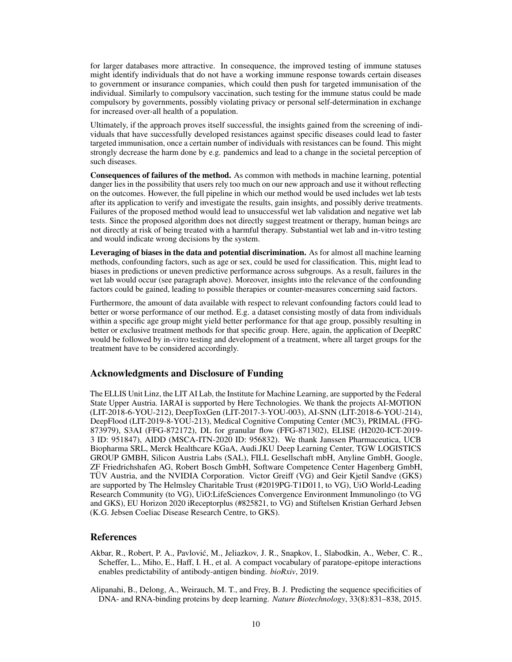for larger databases more attractive. In consequence, the improved testing of immune statuses might identify individuals that do not have a working immune response towards certain diseases to government or insurance companies, which could then push for targeted immunisation of the individual. Similarly to compulsory vaccination, such testing for the immune status could be made compulsory by governments, possibly violating privacy or personal self-determination in exchange for increased over-all health of a population.

Ultimately, if the approach proves itself successful, the insights gained from the screening of individuals that have successfully developed resistances against specific diseases could lead to faster targeted immunisation, once a certain number of individuals with resistances can be found. This might strongly decrease the harm done by e.g. pandemics and lead to a change in the societal perception of such diseases.

Consequences of failures of the method. As common with methods in machine learning, potential danger lies in the possibility that users rely too much on our new approach and use it without reflecting on the outcomes. However, the full pipeline in which our method would be used includes wet lab tests after its application to verify and investigate the results, gain insights, and possibly derive treatments. Failures of the proposed method would lead to unsuccessful wet lab validation and negative wet lab tests. Since the proposed algorithm does not directly suggest treatment or therapy, human beings are not directly at risk of being treated with a harmful therapy. Substantial wet lab and in-vitro testing and would indicate wrong decisions by the system.

Leveraging of biases in the data and potential discrimination. As for almost all machine learning methods, confounding factors, such as age or sex, could be used for classification. This, might lead to biases in predictions or uneven predictive performance across subgroups. As a result, failures in the wet lab would occur (see paragraph above). Moreover, insights into the relevance of the confounding factors could be gained, leading to possible therapies or counter-measures concerning said factors.

Furthermore, the amount of data available with respect to relevant confounding factors could lead to better or worse performance of our method. E.g. a dataset consisting mostly of data from individuals within a specific age group might yield better performance for that age group, possibly resulting in better or exclusive treatment methods for that specific group. Here, again, the application of DeepRC would be followed by in-vitro testing and development of a treatment, where all target groups for the treatment have to be considered accordingly.

## Acknowledgments and Disclosure of Funding

The ELLIS Unit Linz, the LIT AI Lab, the Institute for Machine Learning, are supported by the Federal State Upper Austria. IARAI is supported by Here Technologies. We thank the projects AI-MOTION (LIT-2018-6-YOU-212), DeepToxGen (LIT-2017-3-YOU-003), AI-SNN (LIT-2018-6-YOU-214), DeepFlood (LIT-2019-8-YOU-213), Medical Cognitive Computing Center (MC3), PRIMAL (FFG-873979), S3AI (FFG-872172), DL for granular flow (FFG-871302), ELISE (H2020-ICT-2019- 3 ID: 951847), AIDD (MSCA-ITN-2020 ID: 956832). We thank Janssen Pharmaceutica, UCB Biopharma SRL, Merck Healthcare KGaA, Audi.JKU Deep Learning Center, TGW LOGISTICS GROUP GMBH, Silicon Austria Labs (SAL), FILL Gesellschaft mbH, Anyline GmbH, Google, ZF Friedrichshafen AG, Robert Bosch GmbH, Software Competence Center Hagenberg GmbH, TÜV Austria, and the NVIDIA Corporation. Victor Greiff (VG) and Geir Kjetil Sandve (GKS) are supported by The Helmsley Charitable Trust (#2019PG-T1D011, to VG), UiO World-Leading Research Community (to VG), UiO:LifeSciences Convergence Environment Immunolingo (to VG and GKS), EU Horizon 2020 iReceptorplus (#825821, to VG) and Stiftelsen Kristian Gerhard Jebsen (K.G. Jebsen Coeliac Disease Research Centre, to GKS).

# References

- <span id="page-9-0"></span>Akbar, R., Robert, P. A., Pavlovic, M., Jeliazkov, J. R., Snapkov, I., Slabodkin, A., Weber, C. R., ´ Scheffer, L., Miho, E., Haff, I. H., et al. A compact vocabulary of paratope-epitope interactions enables predictability of antibody-antigen binding. *bioRxiv*, 2019.
- <span id="page-9-1"></span>Alipanahi, B., Delong, A., Weirauch, M. T., and Frey, B. J. Predicting the sequence specificities of DNA- and RNA-binding proteins by deep learning. *Nature Biotechnology*, 33(8):831–838, 2015.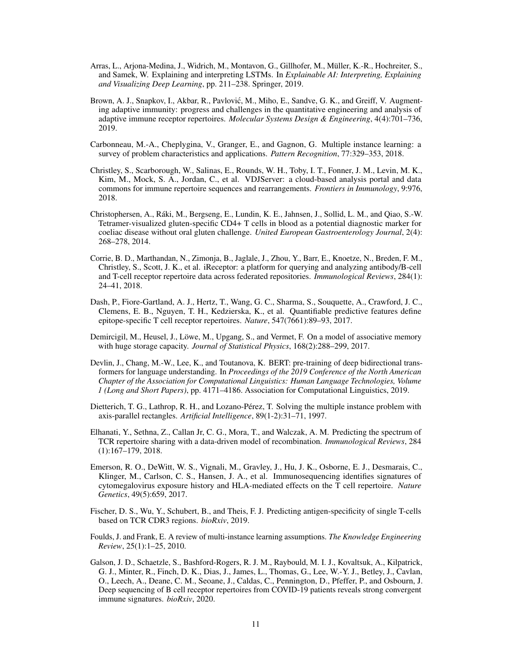- <span id="page-10-11"></span>Arras, L., Arjona-Medina, J., Widrich, M., Montavon, G., Gillhofer, M., Müller, K.-R., Hochreiter, S., and Samek, W. Explaining and interpreting LSTMs. In *Explainable AI: Interpreting, Explaining and Visualizing Deep Learning*, pp. 211–238. Springer, 2019.
- <span id="page-10-8"></span>Brown, A. J., Snapkov, I., Akbar, R., Pavlović, M., Miho, E., Sandve, G. K., and Greiff, V. Augmenting adaptive immunity: progress and challenges in the quantitative engineering and analysis of adaptive immune receptor repertoires. *Molecular Systems Design & Engineering*, 4(4):701–736, 2019.
- <span id="page-10-1"></span>Carbonneau, M.-A., Cheplygina, V., Granger, E., and Gagnon, G. Multiple instance learning: a survey of problem characteristics and applications. *Pattern Recognition*, 77:329–353, 2018.
- <span id="page-10-13"></span>Christley, S., Scarborough, W., Salinas, E., Rounds, W. H., Toby, I. T., Fonner, J. M., Levin, M. K., Kim, M., Mock, S. A., Jordan, C., et al. VDJServer: a cloud-based analysis portal and data commons for immune repertoire sequences and rearrangements. *Frontiers in Immunology*, 9:976, 2018.
- <span id="page-10-3"></span>Christophersen, A., Ráki, M., Bergseng, E., Lundin, K. E., Jahnsen, J., Sollid, L. M., and Qiao, S.-W. Tetramer-visualized gluten-specific CD4+ T cells in blood as a potential diagnostic marker for coeliac disease without oral gluten challenge. *United European Gastroenterology Journal*, 2(4): 268–278, 2014.
- <span id="page-10-12"></span>Corrie, B. D., Marthandan, N., Zimonja, B., Jaglale, J., Zhou, Y., Barr, E., Knoetze, N., Breden, F. M., Christley, S., Scott, J. K., et al. iReceptor: a platform for querying and analyzing antibody/B-cell and T-cell receptor repertoire data across federated repositories. *Immunological Reviews*, 284(1): 24–41, 2018.
- <span id="page-10-6"></span>Dash, P., Fiore-Gartland, A. J., Hertz, T., Wang, G. C., Sharma, S., Souquette, A., Crawford, J. C., Clemens, E. B., Nguyen, T. H., Kedzierska, K., et al. Quantifiable predictive features define epitope-specific T cell receptor repertoires. *Nature*, 547(7661):89–93, 2017.
- <span id="page-10-2"></span>Demircigil, M., Heusel, J., Löwe, M., Upgang, S., and Vermet, F. On a model of associative memory with huge storage capacity. *Journal of Statistical Physics*, 168(2):288–299, 2017.
- <span id="page-10-10"></span>Devlin, J., Chang, M.-W., Lee, K., and Toutanova, K. BERT: pre-training of deep bidirectional transformers for language understanding. In *Proceedings of the 2019 Conference of the North American Chapter of the Association for Computational Linguistics: Human Language Technologies, Volume 1 (Long and Short Papers)*, pp. 4171–4186. Association for Computational Linguistics, 2019.
- <span id="page-10-0"></span>Dietterich, T. G., Lathrop, R. H., and Lozano-Pérez, T. Solving the multiple instance problem with axis-parallel rectangles. *Artificial Intelligence*, 89(1-2):31–71, 1997.
- <span id="page-10-5"></span>Elhanati, Y., Sethna, Z., Callan Jr, C. G., Mora, T., and Walczak, A. M. Predicting the spectrum of TCR repertoire sharing with a data-driven model of recombination. *Immunological Reviews*, 284 (1):167–179, 2018.
- <span id="page-10-4"></span>Emerson, R. O., DeWitt, W. S., Vignali, M., Gravley, J., Hu, J. K., Osborne, E. J., Desmarais, C., Klinger, M., Carlson, C. S., Hansen, J. A., et al. Immunosequencing identifies signatures of cytomegalovirus exposure history and HLA-mediated effects on the T cell repertoire. *Nature Genetics*, 49(5):659, 2017.
- <span id="page-10-7"></span>Fischer, D. S., Wu, Y., Schubert, B., and Theis, F. J. Predicting antigen-specificity of single T-cells based on TCR CDR3 regions. *bioRxiv*, 2019.
- <span id="page-10-9"></span>Foulds, J. and Frank, E. A review of multi-instance learning assumptions. *The Knowledge Engineering Review*, 25(1):1–25, 2010.
- <span id="page-10-14"></span>Galson, J. D., Schaetzle, S., Bashford-Rogers, R. J. M., Raybould, M. I. J., Kovaltsuk, A., Kilpatrick, G. J., Minter, R., Finch, D. K., Dias, J., James, L., Thomas, G., Lee, W.-Y. J., Betley, J., Cavlan, O., Leech, A., Deane, C. M., Seoane, J., Caldas, C., Pennington, D., Pfeffer, P., and Osbourn, J. Deep sequencing of B cell receptor repertoires from COVID-19 patients reveals strong convergent immune signatures. *bioRxiv*, 2020.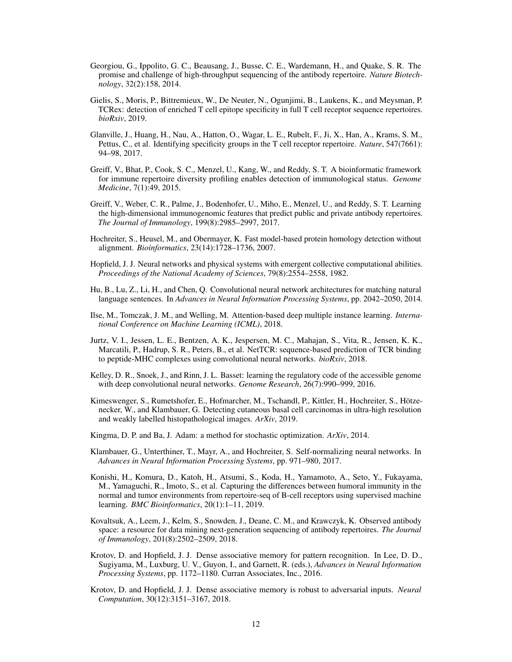- <span id="page-11-8"></span>Georgiou, G., Ippolito, G. C., Beausang, J., Busse, C. E., Wardemann, H., and Quake, S. R. The promise and challenge of high-throughput sequencing of the antibody repertoire. *Nature Biotechnology*, 32(2):158, 2014.
- <span id="page-11-10"></span>Gielis, S., Moris, P., Bittremieux, W., De Neuter, N., Ogunjimi, B., Laukens, K., and Meysman, P. TCRex: detection of enriched T cell epitope specificity in full T cell receptor sequence repertoires. *bioRxiv*, 2019.
- <span id="page-11-7"></span>Glanville, J., Huang, H., Nau, A., Hatton, O., Wagar, L. E., Rubelt, F., Ji, X., Han, A., Krams, S. M., Pettus, C., et al. Identifying specificity groups in the T cell receptor repertoire. *Nature*, 547(7661): 94–98, 2017.
- <span id="page-11-9"></span>Greiff, V., Bhat, P., Cook, S. C., Menzel, U., Kang, W., and Reddy, S. T. A bioinformatic framework for immune repertoire diversity profiling enables detection of immunological status. *Genome Medicine*, 7(1):49, 2015.
- <span id="page-11-6"></span>Greiff, V., Weber, C. R., Palme, J., Bodenhofer, U., Miho, E., Menzel, U., and Reddy, S. T. Learning the high-dimensional immunogenomic features that predict public and private antibody repertoires. *The Journal of Immunology*, 199(8):2985–2997, 2017.
- <span id="page-11-0"></span>Hochreiter, S., Heusel, M., and Obermayer, K. Fast model-based protein homology detection without alignment. *Bioinformatics*, 23(14):1728–1736, 2007.
- <span id="page-11-5"></span>Hopfield, J. J. Neural networks and physical systems with emergent collective computational abilities. *Proceedings of the National Academy of Sciences*, 79(8):2554–2558, 1982.
- <span id="page-11-13"></span>Hu, B., Lu, Z., Li, H., and Chen, Q. Convolutional neural network architectures for matching natural language sentences. In *Advances in Neural Information Processing Systems*, pp. 2042–2050, 2014.
- <span id="page-11-1"></span>Ilse, M., Tomczak, J. M., and Welling, M. Attention-based deep multiple instance learning. *International Conference on Machine Learning (ICML)*, 2018.
- <span id="page-11-11"></span>Jurtz, V. I., Jessen, L. E., Bentzen, A. K., Jespersen, M. C., Mahajan, S., Vita, R., Jensen, K. K., Marcatili, P., Hadrup, S. R., Peters, B., et al. NetTCR: sequence-based prediction of TCR binding to peptide-MHC complexes using convolutional neural networks. *bioRxiv*, 2018.
- <span id="page-11-14"></span>Kelley, D. R., Snoek, J., and Rinn, J. L. Basset: learning the regulatory code of the accessible genome with deep convolutional neural networks. *Genome Research*, 26(7):990–999, 2016.
- <span id="page-11-2"></span>Kimeswenger, S., Rumetshofer, E., Hofmarcher, M., Tschandl, P., Kittler, H., Hochreiter, S., Hötzenecker, W., and Klambauer, G. Detecting cutaneous basal cell carcinomas in ultra-high resolution and weakly labelled histopathological images. *ArXiv*, 2019.
- <span id="page-11-16"></span>Kingma, D. P. and Ba, J. Adam: a method for stochastic optimization. *ArXiv*, 2014.
- <span id="page-11-15"></span>Klambauer, G., Unterthiner, T., Mayr, A., and Hochreiter, S. Self-normalizing neural networks. In *Advances in Neural Information Processing Systems*, pp. 971–980, 2017.
- <span id="page-11-12"></span>Konishi, H., Komura, D., Katoh, H., Atsumi, S., Koda, H., Yamamoto, A., Seto, Y., Fukayama, M., Yamaguchi, R., Imoto, S., et al. Capturing the differences between humoral immunity in the normal and tumor environments from repertoire-seq of B-cell receptors using supervised machine learning. *BMC Bioinformatics*, 20(1):1–11, 2019.
- <span id="page-11-17"></span>Kovaltsuk, A., Leem, J., Kelm, S., Snowden, J., Deane, C. M., and Krawczyk, K. Observed antibody space: a resource for data mining next-generation sequencing of antibody repertoires. *The Journal of Immunology*, 201(8):2502–2509, 2018.
- <span id="page-11-3"></span>Krotov, D. and Hopfield, J. J. Dense associative memory for pattern recognition. In Lee, D. D., Sugiyama, M., Luxburg, U. V., Guyon, I., and Garnett, R. (eds.), *Advances in Neural Information Processing Systems*, pp. 1172–1180. Curran Associates, Inc., 2016.
- <span id="page-11-4"></span>Krotov, D. and Hopfield, J. J. Dense associative memory is robust to adversarial inputs. *Neural Computation*, 30(12):3151–3167, 2018.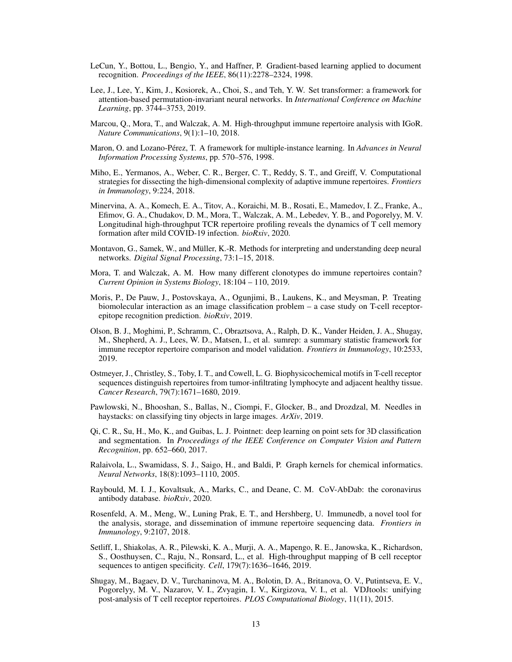- <span id="page-12-9"></span>LeCun, Y., Bottou, L., Bengio, Y., and Haffner, P. Gradient-based learning applied to document recognition. *Proceedings of the IEEE*, 86(11):2278–2324, 1998.
- <span id="page-12-0"></span>Lee, J., Lee, Y., Kim, J., Kosiorek, A., Choi, S., and Teh, Y. W. Set transformer: a framework for attention-based permutation-invariant neural networks. In *International Conference on Machine Learning*, pp. 3744–3753, 2019.
- <span id="page-12-14"></span>Marcou, Q., Mora, T., and Walczak, A. M. High-throughput immune repertoire analysis with IGoR. *Nature Communications*, 9(1):1–10, 2018.
- <span id="page-12-2"></span>Maron, O. and Lozano-Pérez, T. A framework for multiple-instance learning. In *Advances in Neural Information Processing Systems*, pp. 570–576, 1998.
- <span id="page-12-5"></span>Miho, E., Yermanos, A., Weber, C. R., Berger, C. T., Reddy, S. T., and Greiff, V. Computational strategies for dissecting the high-dimensional complexity of adaptive immune repertoires. *Frontiers in Immunology*, 9:224, 2018.
- <span id="page-12-16"></span>Minervina, A. A., Komech, E. A., Titov, A., Koraichi, M. B., Rosati, E., Mamedov, I. Z., Franke, A., Efimov, G. A., Chudakov, D. M., Mora, T., Walczak, A. M., Lebedev, Y. B., and Pogorelyy, M. V. Longitudinal high-throughput TCR repertoire profiling reveals the dynamics of T cell memory formation after mild COVID-19 infection. *bioRxiv*, 2020.
- <span id="page-12-10"></span>Montavon, G., Samek, W., and Müller, K.-R. Methods for interpreting and understanding deep neural networks. *Digital Signal Processing*, 73:1–15, 2018.
- <span id="page-12-3"></span>Mora, T. and Walczak, A. M. How many different clonotypes do immune repertoires contain? *Current Opinion in Systems Biology*, 18:104 – 110, 2019.
- <span id="page-12-6"></span>Moris, P., De Pauw, J., Postovskaya, A., Ogunjimi, B., Laukens, K., and Meysman, P. Treating biomolecular interaction as an image classification problem – a case study on T-cell receptorepitope recognition prediction. *bioRxiv*, 2019.
- <span id="page-12-13"></span>Olson, B. J., Moghimi, P., Schramm, C., Obraztsova, A., Ralph, D. K., Vander Heiden, J. A., Shugay, M., Shepherd, A. J., Lees, W. D., Matsen, I., et al. sumrep: a summary statistic framework for immune receptor repertoire comparison and model validation. *Frontiers in Immunology*, 10:2533, 2019.
- <span id="page-12-7"></span>Ostmeyer, J., Christley, S., Toby, I. T., and Cowell, L. G. Biophysicochemical motifs in T-cell receptor sequences distinguish repertoires from tumor-infiltrating lymphocyte and adjacent healthy tissue. *Cancer Research*, 79(7):1671–1680, 2019.
- <span id="page-12-1"></span>Pawlowski, N., Bhooshan, S., Ballas, N., Ciompi, F., Glocker, B., and Drozdzal, M. Needles in haystacks: on classifying tiny objects in large images. *ArXiv*, 2019.
- <span id="page-12-8"></span>Qi, C. R., Su, H., Mo, K., and Guibas, L. J. Pointnet: deep learning on point sets for 3D classification and segmentation. In *Proceedings of the IEEE Conference on Computer Vision and Pattern Recognition*, pp. 652–660, 2017.
- <span id="page-12-11"></span>Ralaivola, L., Swamidass, S. J., Saigo, H., and Baldi, P. Graph kernels for chemical informatics. *Neural Networks*, 18(8):1093–1110, 2005.
- <span id="page-12-15"></span>Raybould, M. I. J., Kovaltsuk, A., Marks, C., and Deane, C. M. CoV-AbDab: the coronavirus antibody database. *bioRxiv*, 2020.
- <span id="page-12-12"></span>Rosenfeld, A. M., Meng, W., Luning Prak, E. T., and Hershberg, U. Immunedb, a novel tool for the analysis, storage, and dissemination of immune repertoire sequencing data. *Frontiers in Immunology*, 9:2107, 2018.
- <span id="page-12-17"></span>Setliff, I., Shiakolas, A. R., Pilewski, K. A., Murji, A. A., Mapengo, R. E., Janowska, K., Richardson, S., Oosthuysen, C., Raju, N., Ronsard, L., et al. High-throughput mapping of B cell receptor sequences to antigen specificity. *Cell*, 179(7):1636–1646, 2019.
- <span id="page-12-4"></span>Shugay, M., Bagaev, D. V., Turchaninova, M. A., Bolotin, D. A., Britanova, O. V., Putintseva, E. V., Pogorelyy, M. V., Nazarov, V. I., Zvyagin, I. V., Kirgizova, V. I., et al. VDJtools: unifying post-analysis of T cell receptor repertoires. *PLOS Computational Biology*, 11(11), 2015.